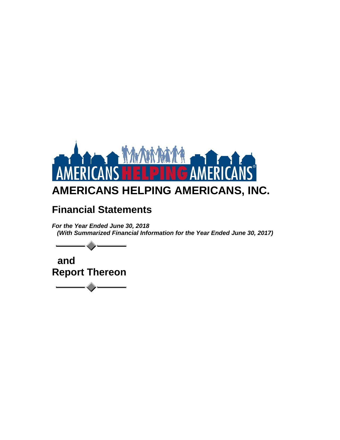

# **Financial Statements**

*For the Year Ended June 30, 2018 (With Summarized Financial Information for the Year Ended June 30, 2017)*

 **and Report Thereon**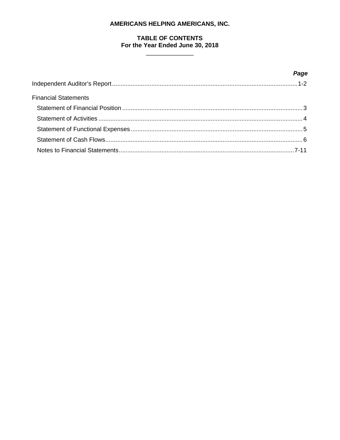# **TABLE OF CONTENTS** For the Year Ended June 30, 2018

 $\overline{\phantom{a}}$ 

|                             | Page |
|-----------------------------|------|
|                             |      |
| <b>Financial Statements</b> |      |
|                             |      |
|                             |      |
|                             |      |
|                             |      |
|                             |      |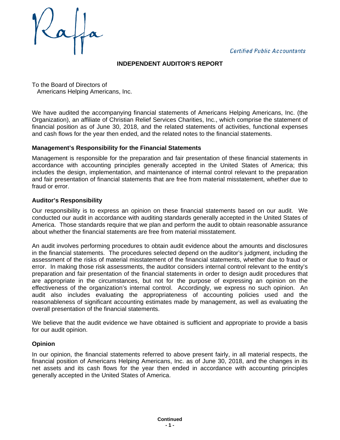**Certified Public Accountants** 

# **INDEPENDENT AUDITOR'S REPORT**

To the Board of Directors of Americans Helping Americans, Inc.

We have audited the accompanying financial statements of Americans Helping Americans, Inc. (the Organization), an affiliate of Christian Relief Services Charities, Inc., which comprise the statement of financial position as of June 30, 2018, and the related statements of activities, functional expenses and cash flows for the year then ended, and the related notes to the financial statements.

#### **Management's Responsibility for the Financial Statements**

Management is responsible for the preparation and fair presentation of these financial statements in accordance with accounting principles generally accepted in the United States of America; this includes the design, implementation, and maintenance of internal control relevant to the preparation and fair presentation of financial statements that are free from material misstatement, whether due to fraud or error.

### **Auditor's Responsibility**

Our responsibility is to express an opinion on these financial statements based on our audit. We conducted our audit in accordance with auditing standards generally accepted in the United States of America. Those standards require that we plan and perform the audit to obtain reasonable assurance about whether the financial statements are free from material misstatement.

An audit involves performing procedures to obtain audit evidence about the amounts and disclosures in the financial statements. The procedures selected depend on the auditor's judgment, including the assessment of the risks of material misstatement of the financial statements, whether due to fraud or error. In making those risk assessments, the auditor considers internal control relevant to the entity's preparation and fair presentation of the financial statements in order to design audit procedures that are appropriate in the circumstances, but not for the purpose of expressing an opinion on the effectiveness of the organization's internal control. Accordingly, we express no such opinion. An audit also includes evaluating the appropriateness of accounting policies used and the reasonableness of significant accounting estimates made by management, as well as evaluating the overall presentation of the financial statements.

We believe that the audit evidence we have obtained is sufficient and appropriate to provide a basis for our audit opinion.

### **Opinion**

In our opinion, the financial statements referred to above present fairly, in all material respects, the financial position of Americans Helping Americans, Inc. as of June 30, 2018, and the changes in its net assets and its cash flows for the year then ended in accordance with accounting principles generally accepted in the United States of America.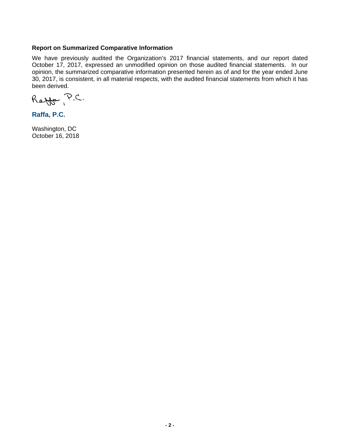#### **Report on Summarized Comparative Information**

We have previously audited the Organization's 2017 financial statements, and our report dated October 17, 2017, expressed an unmodified opinion on those audited financial statements. In our opinion, the summarized comparative information presented herein as of and for the year ended June 30, 2017, is consistent, in all material respects, with the audited financial statements from which it has been derived.

Reffer, P.C.

**Raffa, P.C.**

Washington, DC October 16, 2018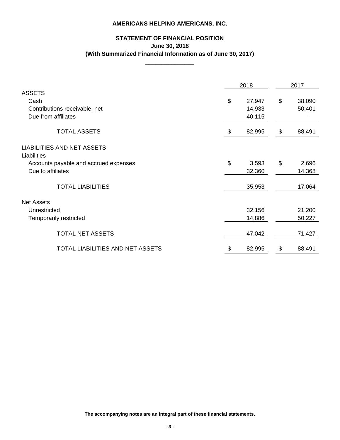# **STATEMENT OF FINANCIAL POSITION June 30, 2018 (With Summarized Financial Information as of June 30, 2017)**

 $\overline{\phantom{a}}$  , where the contract of the contract of  $\overline{\phantom{a}}$ 

|                                                                               | 2018                             | 2017                   |
|-------------------------------------------------------------------------------|----------------------------------|------------------------|
| <b>ASSETS</b><br>Cash<br>Contributions receivable, net<br>Due from affiliates | \$<br>27,947<br>14,933<br>40,115 | \$<br>38,090<br>50,401 |
| <b>TOTAL ASSETS</b>                                                           | \$<br>82,995                     | \$<br>88,491           |
| <b>LIABILITIES AND NET ASSETS</b><br>Liabilities                              |                                  |                        |
| Accounts payable and accrued expenses<br>Due to affiliates                    | \$<br>3,593<br>32,360            | \$<br>2,696<br>14,368  |
| <b>TOTAL LIABILITIES</b>                                                      | 35,953                           | 17,064                 |
| <b>Net Assets</b><br>Unrestricted<br><b>Temporarily restricted</b>            | 32,156<br>14,886                 | 21,200<br>50,227       |
| <b>TOTAL NET ASSETS</b>                                                       | 47,042                           | 71,427                 |
| TOTAL LIABILITIES AND NET ASSETS                                              | \$<br>82,995                     | \$<br>88,491           |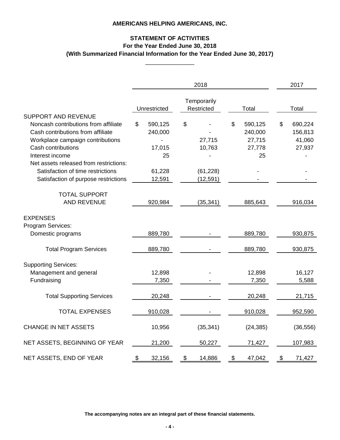# **STATEMENT OF ACTIVITIES For the Year Ended June 30, 2018 (With Summarized Financial Information for the Year Ended June 30, 2017)**

 $\overline{\phantom{a}}$  , where the contract of the contract of  $\overline{\phantom{a}}$ 

|                                        | 2018 |              |               |                           |               | 2017      |            |           |
|----------------------------------------|------|--------------|---------------|---------------------------|---------------|-----------|------------|-----------|
|                                        |      | Unrestricted |               | Temporarily<br>Restricted |               | Total     |            | Total     |
| <b>SUPPORT AND REVENUE</b>             |      |              |               |                           |               |           |            |           |
| Noncash contributions from affiliate   | \$   | 590,125      | \$            |                           | \$            | 590,125   | \$         | 690,224   |
| Cash contributions from affiliate      |      | 240,000      |               |                           |               | 240,000   |            | 156,813   |
| Workplace campaign contributions       |      |              |               | 27,715                    |               | 27,715    |            | 41,060    |
| Cash contributions                     |      | 17,015       |               | 10,763                    |               | 27,778    |            | 27,937    |
| Interest income                        |      | 25           |               |                           |               | 25        |            |           |
| Net assets released from restrictions: |      |              |               |                           |               |           |            |           |
| Satisfaction of time restrictions      |      | 61,228       |               | (61, 228)                 |               |           |            |           |
| Satisfaction of purpose restrictions   |      | 12,591       |               | (12, 591)                 |               |           |            |           |
|                                        |      |              |               |                           |               |           |            |           |
| <b>TOTAL SUPPORT</b>                   |      |              |               |                           |               |           |            |           |
| <b>AND REVENUE</b>                     |      | 920,984      |               | (35, 341)                 |               | 885,643   |            | 916,034   |
| <b>EXPENSES</b>                        |      |              |               |                           |               |           |            |           |
| Program Services:                      |      |              |               |                           |               |           |            |           |
| Domestic programs                      |      | 889,780      |               |                           |               | 889,780   |            | 930,875   |
|                                        |      |              |               |                           |               |           |            |           |
| <b>Total Program Services</b>          |      | 889,780      |               |                           |               | 889,780   |            | 930,875   |
| <b>Supporting Services:</b>            |      |              |               |                           |               |           |            |           |
| Management and general                 |      | 12,898       |               |                           |               | 12,898    |            | 16,127    |
| Fundraising                            |      | 7,350        |               |                           |               | 7,350     |            | 5,588     |
|                                        |      |              |               |                           |               |           |            |           |
| <b>Total Supporting Services</b>       |      | 20,248       |               |                           |               | 20,248    |            | 21,715    |
| <b>TOTAL EXPENSES</b>                  |      | 910,028      |               |                           |               | 910,028   |            | 952,590   |
| <b>CHANGE IN NET ASSETS</b>            |      | 10,956       |               | (35, 341)                 |               | (24, 385) |            | (36, 556) |
| NET ASSETS, BEGINNING OF YEAR          |      | 21,200       |               | 50,227                    |               | 71,427    |            | 107,983   |
| NET ASSETS, END OF YEAR                | \$   | 32,156       | $\frac{1}{2}$ | 14,886                    | $\frac{1}{2}$ | 47,042    | $\sqrt{2}$ | 71,427    |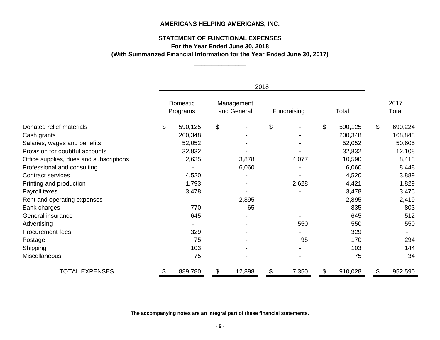# **STATEMENT OF FUNCTIONAL EXPENSES**

**For the Year Ended June 30, 2018**

\_\_\_\_\_\_\_\_\_\_\_\_\_\_\_ **(With Summarized Financial Information for the Year Ended June 30, 2017)**

|                                         | 2018     |                          |                           |        |             |       |    |         |      |         |
|-----------------------------------------|----------|--------------------------|---------------------------|--------|-------------|-------|----|---------|------|---------|
|                                         | Domestic |                          | Management<br>and General |        | Fundraising |       |    |         | 2017 |         |
|                                         |          | Programs                 |                           |        |             |       |    | Total   |      | Total   |
| Donated relief materials                | \$       | 590,125                  | \$                        |        | \$          |       | \$ | 590,125 | \$   | 690,224 |
| Cash grants                             |          | 200,348                  |                           |        |             |       |    | 200,348 |      | 168,843 |
| Salaries, wages and benefits            |          | 52,052                   |                           |        |             |       |    | 52,052  |      | 50,605  |
| Provision for doubtful accounts         |          | 32,832                   |                           |        |             |       |    | 32,832  |      | 12,108  |
| Office supplies, dues and subscriptions |          | 2,635                    |                           | 3,878  |             | 4,077 |    | 10,590  |      | 8,413   |
| Professional and consulting             |          |                          |                           | 6,060  |             |       |    | 6,060   |      | 8,448   |
| <b>Contract services</b>                |          | 4,520                    |                           |        |             |       |    | 4,520   |      | 3,889   |
| Printing and production                 |          | 1,793                    |                           |        |             | 2,628 |    | 4,421   |      | 1,829   |
| Payroll taxes                           |          | 3,478                    |                           |        |             |       |    | 3,478   |      | 3,475   |
| Rent and operating expenses             |          |                          |                           | 2,895  |             |       |    | 2,895   |      | 2,419   |
| Bank charges                            |          | 770                      |                           | 65     |             |       |    | 835     |      | 803     |
| General insurance                       |          | 645                      |                           |        |             |       |    | 645     |      | 512     |
| Advertising                             |          | $\overline{\phantom{a}}$ |                           |        |             | 550   |    | 550     |      | 550     |
| Procurement fees                        |          | 329                      |                           |        |             |       |    | 329     |      |         |
| Postage                                 |          | 75                       |                           |        |             | 95    |    | 170     |      | 294     |
| Shipping                                |          | 103                      |                           |        |             |       |    | 103     |      | 144     |
| Miscellaneous                           |          | 75                       |                           |        |             |       |    | 75      |      | 34      |
| <b>TOTAL EXPENSES</b>                   | \$       | 889,780                  | \$                        | 12,898 | \$          | 7,350 | \$ | 910,028 | \$   | 952,590 |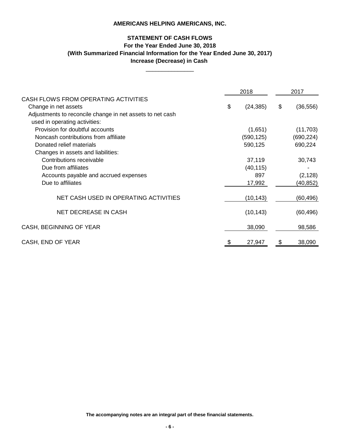# **STATEMENT OF CASH FLOWS For the Year Ended June 30, 2018 Increase (Decrease) in Cash (With Summarized Financial Information for the Year Ended June 30, 2017)**

 $\overline{\phantom{a}}$  , where  $\overline{\phantom{a}}$ 

|                                                           | 2018 |            |    | 2017       |  |
|-----------------------------------------------------------|------|------------|----|------------|--|
| CASH FLOWS FROM OPERATING ACTIVITIES                      |      |            |    |            |  |
| Change in net assets                                      | \$   | (24, 385)  | \$ | (36, 556)  |  |
| Adjustments to reconcile change in net assets to net cash |      |            |    |            |  |
| used in operating activities:                             |      |            |    |            |  |
| Provision for doubtful accounts                           |      | (1,651)    |    | (11,703)   |  |
| Noncash contributions from affiliate                      |      | (590, 125) |    | (690, 224) |  |
| Donated relief materials                                  |      | 590,125    |    | 690,224    |  |
| Changes in assets and liabilities:                        |      |            |    |            |  |
| Contributions receivable                                  |      | 37,119     |    | 30,743     |  |
| Due from affiliates                                       |      | (40, 115)  |    |            |  |
| Accounts payable and accrued expenses                     |      | 897        |    | (2, 128)   |  |
| Due to affiliates                                         |      | 17,992     |    | (40,852)   |  |
| NET CASH USED IN OPERATING ACTIVITIES                     |      | (10, 143)  |    | (60,496)   |  |
| <b>NET DECREASE IN CASH</b>                               |      | (10, 143)  |    | (60, 496)  |  |
| CASH, BEGINNING OF YEAR                                   |      | 38,090     |    | 98,586     |  |
| CASH, END OF YEAR                                         |      | 27,947     |    | 38,090     |  |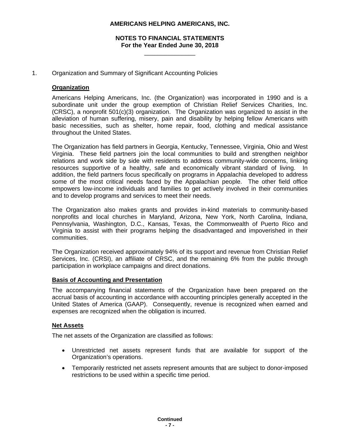### **NOTES TO FINANCIAL STATEMENTS For the Year Ended June 30, 2018**

\_\_\_\_\_\_\_\_\_\_\_\_\_\_\_

#### 1. Organization and Summary of Significant Accounting Policies

#### **Organization**

Americans Helping Americans, Inc. (the Organization) was incorporated in 1990 and is a subordinate unit under the group exemption of Christian Relief Services Charities, Inc. (CRSC), a nonprofit 501(c)(3) organization. The Organization was organized to assist in the alleviation of human suffering, misery, pain and disability by helping fellow Americans with basic necessities, such as shelter, home repair, food, clothing and medical assistance throughout the United States.

The Organization has field partners in Georgia, Kentucky, Tennessee, Virginia, Ohio and West Virginia. These field partners join the local communities to build and strengthen neighbor relations and work side by side with residents to address community-wide concerns, linking resources supportive of a healthy, safe and economically vibrant standard of living. In addition, the field partners focus specifically on programs in Appalachia developed to address some of the most critical needs faced by the Appalachian people. The other field office empowers low-income individuals and families to get actively involved in their communities and to develop programs and services to meet their needs.

The Organization also makes grants and provides in-kind materials to community-based nonprofits and local churches in Maryland, Arizona, New York, North Carolina, Indiana, Pennsylvania, Washington, D.C., Kansas, Texas, the Commonwealth of Puerto Rico and Virginia to assist with their programs helping the disadvantaged and impoverished in their communities.

The Organization received approximately 94% of its support and revenue from Christian Relief Services, Inc. (CRSI), an affiliate of CRSC, and the remaining 6% from the public through participation in workplace campaigns and direct donations.

#### **Basis of Accounting and Presentation**

The accompanying financial statements of the Organization have been prepared on the accrual basis of accounting in accordance with accounting principles generally accepted in the United States of America (GAAP). Consequently, revenue is recognized when earned and expenses are recognized when the obligation is incurred.

#### **Net Assets**

The net assets of the Organization are classified as follows:

- Unrestricted net assets represent funds that are available for support of the Organization's operations.
- Temporarily restricted net assets represent amounts that are subject to donor-imposed restrictions to be used within a specific time period.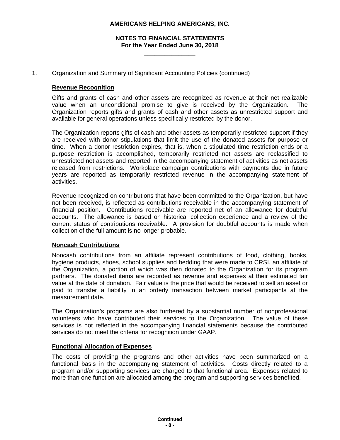### **NOTES TO FINANCIAL STATEMENTS For the Year Ended June 30, 2018**

\_\_\_\_\_\_\_\_\_\_\_\_\_\_\_

#### 1. Organization and Summary of Significant Accounting Policies (continued)

#### **Revenue Recognition**

Gifts and grants of cash and other assets are recognized as revenue at their net realizable value when an unconditional promise to give is received by the Organization. The Organization reports gifts and grants of cash and other assets as unrestricted support and available for general operations unless specifically restricted by the donor.

The Organization reports gifts of cash and other assets as temporarily restricted support if they are received with donor stipulations that limit the use of the donated assets for purpose or time. When a donor restriction expires, that is, when a stipulated time restriction ends or a purpose restriction is accomplished, temporarily restricted net assets are reclassified to unrestricted net assets and reported in the accompanying statement of activities as net assets released from restrictions. Workplace campaign contributions with payments due in future years are reported as temporarily restricted revenue in the accompanying statement of activities.

Revenue recognized on contributions that have been committed to the Organization, but have not been received, is reflected as contributions receivable in the accompanying statement of financial position. Contributions receivable are reported net of an allowance for doubtful accounts. The allowance is based on historical collection experience and a review of the current status of contributions receivable. A provision for doubtful accounts is made when collection of the full amount is no longer probable.

#### **Noncash Contributions**

Noncash contributions from an affiliate represent contributions of food, clothing, books, hygiene products, shoes, school supplies and bedding that were made to CRSI, an affiliate of the Organization, a portion of which was then donated to the Organization for its program partners. The donated items are recorded as revenue and expenses at their estimated fair value at the date of donation. Fair value is the price that would be received to sell an asset or paid to transfer a liability in an orderly transaction between market participants at the measurement date.

The Organization's programs are also furthered by a substantial number of nonprofessional volunteers who have contributed their services to the Organization. The value of these services is not reflected in the accompanying financial statements because the contributed services do not meet the criteria for recognition under GAAP.

#### **Functional Allocation of Expenses**

The costs of providing the programs and other activities have been summarized on a functional basis in the accompanying statement of activities. Costs directly related to a program and/or supporting services are charged to that functional area. Expenses related to more than one function are allocated among the program and supporting services benefited.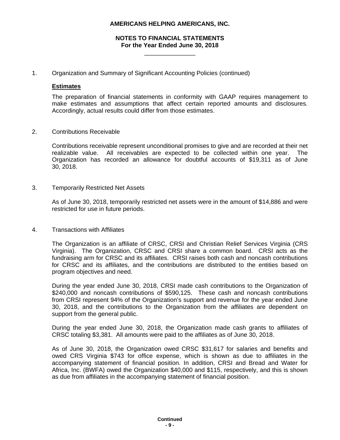### **NOTES TO FINANCIAL STATEMENTS For the Year Ended June 30, 2018**

\_\_\_\_\_\_\_\_\_\_\_\_\_\_\_

1. Organization and Summary of Significant Accounting Policies (continued)

#### **Estimates**

The preparation of financial statements in conformity with GAAP requires management to make estimates and assumptions that affect certain reported amounts and disclosures. Accordingly, actual results could differ from those estimates.

2. Contributions Receivable

Contributions receivable represent unconditional promises to give and are recorded at their net realizable value. All receivables are expected to be collected within one year. The Organization has recorded an allowance for doubtful accounts of \$19,311 as of June 30, 2018.

3. Temporarily Restricted Net Assets

As of June 30, 2018, temporarily restricted net assets were in the amount of \$14,886 and were restricted for use in future periods.

4. Transactions with Affiliates

The Organization is an affiliate of CRSC, CRSI and Christian Relief Services Virginia (CRS Virginia). The Organization, CRSC and CRSI share a common board. CRSI acts as the fundraising arm for CRSC and its affiliates. CRSI raises both cash and noncash contributions for CRSC and its affiliates, and the contributions are distributed to the entities based on program objectives and need.

During the year ended June 30, 2018, CRSI made cash contributions to the Organization of \$240,000 and noncash contributions of \$590,125. These cash and noncash contributions from CRSI represent 94% of the Organization's support and revenue for the year ended June 30, 2018, and the contributions to the Organization from the affiliates are dependent on support from the general public.

During the year ended June 30, 2018, the Organization made cash grants to affiliates of CRSC totaling \$3,381. All amounts were paid to the affiliates as of June 30, 2018.

As of June 30, 2018, the Organization owed CRSC \$31,617 for salaries and benefits and owed CRS Virginia \$743 for office expense, which is shown as due to affiliates in the accompanying statement of financial position. In addition, CRSI and Bread and Water for Africa, Inc. (BWFA) owed the Organization \$40,000 and \$115, respectively, and this is shown as due from affiliates in the accompanying statement of financial position.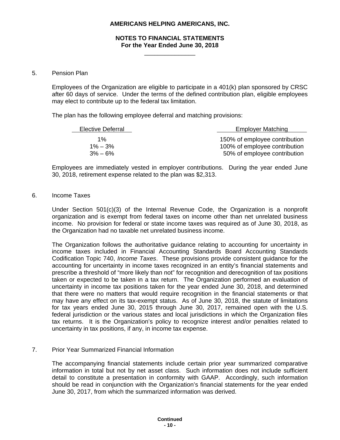### **NOTES TO FINANCIAL STATEMENTS For the Year Ended June 30, 2018**

\_\_\_\_\_\_\_\_\_\_\_\_\_\_\_

#### 5. Pension Plan

Employees of the Organization are eligible to participate in a 401(k) plan sponsored by CRSC after 60 days of service. Under the terms of the defined contribution plan, eligible employees may elect to contribute up to the federal tax limitation.

The plan has the following employee deferral and matching provisions:

| Elective Deferral | <b>Employer Matching</b>      |
|-------------------|-------------------------------|
| 1%                | 150% of employee contribution |
| $1\% - 3\%$       | 100% of employee contribution |
| $3\% - 6\%$       | 50% of employee contribution  |

Employees are immediately vested in employer contributions. During the year ended June 30, 2018, retirement expense related to the plan was \$2,313.

#### 6. Income Taxes

Under Section 501(c)(3) of the Internal Revenue Code, the Organization is a nonprofit organization and is exempt from federal taxes on income other than net unrelated business income. No provision for federal or state income taxes was required as of June 30, 2018, as the Organization had no taxable net unrelated business income.

The Organization follows the authoritative guidance relating to accounting for uncertainty in income taxes included in Financial Accounting Standards Board Accounting Standards Codification Topic 740, *Income Taxes*. These provisions provide consistent guidance for the accounting for uncertainty in income taxes recognized in an entity's financial statements and prescribe a threshold of "more likely than not" for recognition and derecognition of tax positions taken or expected to be taken in a tax return. The Organization performed an evaluation of uncertainty in income tax positions taken for the year ended June 30, 2018, and determined that there were no matters that would require recognition in the financial statements or that may have any effect on its tax-exempt status. As of June 30, 2018, the statute of limitations for tax years ended June 30, 2015 through June 30, 2017, remained open with the U.S. federal jurisdiction or the various states and local jurisdictions in which the Organization files tax returns. It is the Organization's policy to recognize interest and/or penalties related to uncertainty in tax positions, if any, in income tax expense.

#### 7. Prior Year Summarized Financial Information

The accompanying financial statements include certain prior year summarized comparative information in total but not by net asset class. Such information does not include sufficient detail to constitute a presentation in conformity with GAAP. Accordingly, such information should be read in conjunction with the Organization's financial statements for the year ended June 30, 2017, from which the summarized information was derived.